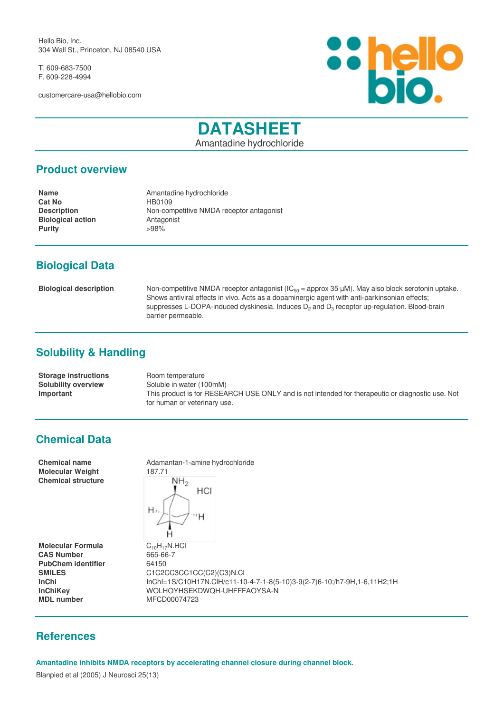Hello Bio, Inc. 304 Wall St., Princeton, NJ 08540 USA

T. 609-683-7500 F. 609-228-4994

customercare-usa@hellobio.com



# **DATASHEET**

Amantadine hydrochloride

#### **Product overview**

**Cat No HB0109 Biological action**<br> **Purity**<br> **Purity**<br> **Purity Purity** 

**Name** Amantadine hydrochloride **Description** Non-competitive NMDA receptor antagonist

# **Biological Data**

**Biological description** Non-competitive NMDA receptor antagonist (IC<sub>50</sub> = approx 35 µM). May also block serotonin uptake. Shows antiviral effects in vivo. Acts as a dopaminergic agent with anti-parkinsonian effects; suppresses L-DOPA-induced dyskinesia. Induces  $D_2$  and  $D_3$  receptor up-regulation. Blood-brain barrier permeable.

# **Solubility & Handling**

| <b>Storage instructions</b> | Room temperature                                                                                 |
|-----------------------------|--------------------------------------------------------------------------------------------------|
| <b>Solubility overview</b>  | Soluble in water (100mM)                                                                         |
| Important                   | This product is for RESEARCH USE ONLY and is not intended for therapeutic or diagnostic use. Not |
|                             | for human or veterinary use.                                                                     |

### **Chemical Data**

| <b>Chemical name</b>      | Adamantan-1-amine hydrochloride                                          |
|---------------------------|--------------------------------------------------------------------------|
| <b>Molecular Weight</b>   | 187.71                                                                   |
| <b>Chemical structure</b> | $NH_{2}$<br>HCI<br>Н.,<br>'Η                                             |
| <b>Molecular Formula</b>  | $C_{10}H_{17}N$ .HCl                                                     |
| <b>CAS Number</b>         | 665-66-7                                                                 |
| <b>PubChem identifier</b> | 64150                                                                    |
| <b>SMILES</b>             | C1C2CC3CC1CC(C2)(C3)N.CI                                                 |
| <b>InChi</b>              | lnChl=1S/C10H17N.ClH/c11-10-4-7-1-8(5-10)3-9(2-7)6-10;/h7-9H,1-6,11H2;1H |
| <b>InChiKev</b>           | WOLHOYHSEKDWQH-UHFFFAOYSA-N                                              |
| <b>MDL</b> number         | MFCD00074723                                                             |

#### **References**

**Amantadine inhibits NMDA receptors by accelerating channel closure during channel block.**

Blanpied et al (2005) J Neurosci 25(13)